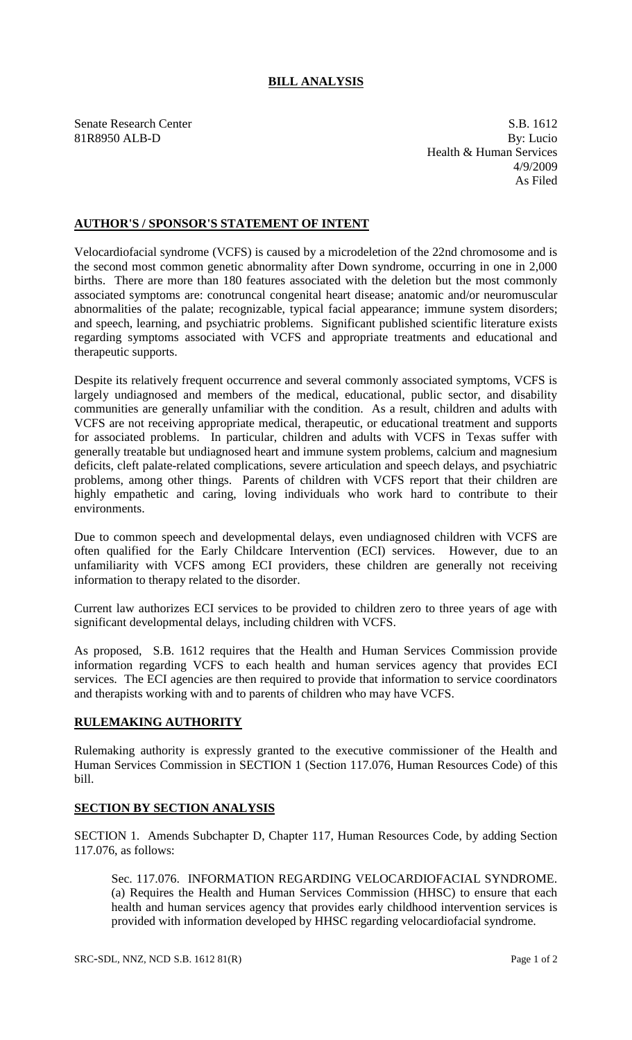## **BILL ANALYSIS**

Senate Research Center S.B. 1612 81R8950 ALB-D By: Lucio Health & Human Services 4/9/2009 As Filed

## **AUTHOR'S / SPONSOR'S STATEMENT OF INTENT**

Velocardiofacial syndrome (VCFS) is caused by a microdeletion of the 22nd chromosome and is the second most common genetic abnormality after Down syndrome, occurring in one in 2,000 births. There are more than 180 features associated with the deletion but the most commonly associated symptoms are: conotruncal congenital heart disease; anatomic and/or neuromuscular abnormalities of the palate; recognizable, typical facial appearance; immune system disorders; and speech, learning, and psychiatric problems. Significant published scientific literature exists regarding symptoms associated with VCFS and appropriate treatments and educational and therapeutic supports.

Despite its relatively frequent occurrence and several commonly associated symptoms, VCFS is largely undiagnosed and members of the medical, educational, public sector, and disability communities are generally unfamiliar with the condition. As a result, children and adults with VCFS are not receiving appropriate medical, therapeutic, or educational treatment and supports for associated problems. In particular, children and adults with VCFS in Texas suffer with generally treatable but undiagnosed heart and immune system problems, calcium and magnesium deficits, cleft palate-related complications, severe articulation and speech delays, and psychiatric problems, among other things. Parents of children with VCFS report that their children are highly empathetic and caring, loving individuals who work hard to contribute to their environments.

Due to common speech and developmental delays, even undiagnosed children with VCFS are often qualified for the Early Childcare Intervention (ECI) services. However, due to an unfamiliarity with VCFS among ECI providers, these children are generally not receiving information to therapy related to the disorder.

Current law authorizes ECI services to be provided to children zero to three years of age with significant developmental delays, including children with VCFS.

As proposed, S.B. 1612 requires that the Health and Human Services Commission provide information regarding VCFS to each health and human services agency that provides ECI services. The ECI agencies are then required to provide that information to service coordinators and therapists working with and to parents of children who may have VCFS.

## **RULEMAKING AUTHORITY**

Rulemaking authority is expressly granted to the executive commissioner of the Health and Human Services Commission in SECTION 1 (Section 117.076, Human Resources Code) of this bill.

## **SECTION BY SECTION ANALYSIS**

SECTION 1. Amends Subchapter D, Chapter 117, Human Resources Code, by adding Section 117.076, as follows:

Sec. 117.076. INFORMATION REGARDING VELOCARDIOFACIAL SYNDROME. (a) Requires the Health and Human Services Commission (HHSC) to ensure that each health and human services agency that provides early childhood intervention services is provided with information developed by HHSC regarding velocardiofacial syndrome.